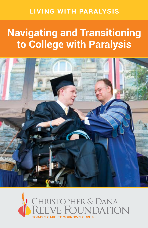## **LIVING WITH PARALYSIS**

# **Navigating and Transitioning to College with Paralysis**



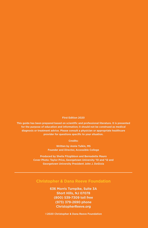#### **First Edition 2020**

**This guide has been prepared based on scientific and professional literature. It is presented for the purpose of education and information; it should not be construed as medical diagnosis or treatment advice. Please consult a physician or appropriate healthcare provider for questions specific to your situation.** 

#### **Credits:**

**Written by Annie Tulkin, MS Founder and Director, Accessible College**

**Produced by Sheila Fitzgibbon and Bernadette Mauro Cover Photo: Taylor Price, Georgetown University '10 and '12 and Georgetown University President John J. DeGioia**

#### **Christopher & Dana Reeve Foundation**

**636 Morris Turnpike, Suite 3A Short Hills, NJ 07078 (800) 539-7309 toll free (973) 379-2690 phone ChristopherReeve.org**

**©2020 Christopher & Dana Reeve Foundation**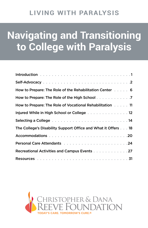## **LIVING WITH PARALYSIS**

# **Navigating and Transitioning to College with Paralysis**

| How to Prepare: The Role of the Rehabilitation Center 6                                                       |
|---------------------------------------------------------------------------------------------------------------|
|                                                                                                               |
| How to Prepare: The Role of Vocational Rehabilitation 11                                                      |
| Injured While in High School or College 12                                                                    |
| Selecting a College entertainment of the contract of the Selecting a College entertainment of the contract of |
| The College's Disability Support Office and What it Offers 18                                                 |
|                                                                                                               |
| Personal Care Attendants and a contract of the contract of 24                                                 |
| Recreational Activities and Campus Events 27                                                                  |
|                                                                                                               |

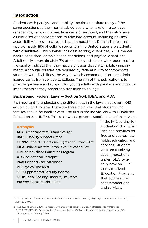#### **Introduction**

Students with paralysis and mobility impairments share many of the same questions as their non-disabled peers when exploring colleges (academics, campus culture, financial aid, services), and they also have a unique set of considerations to take into account, including physical accessibility, access to care, and accommodations. Data indicates that approximately 19% of college students in the United States are students with disabilities<sup>1</sup>. This number includes: learning disabilities, ADD, mental health conditions, chronic health conditions, and physical disabilities. Additionally, approximately 7% of the college students who report having a disability indicate that they have a physical disability/mobility impairment<sup>2</sup>. Although colleges are required by federal law to accommodate students with disabilities, the way in which accommodations are administered varies from college to college. The aim of this publication is to provide guidance and support for young adults with paralysis and mobility impairments as they prepare to transition to college.

#### Background: Federal Laws — Section 504, IDEA, and ADA

It's important to understand the differences in the laws that govern K-12 education and college. There are three main laws that students and families should be familiar with. The first is the Individuals with Disabilities Education Act (IDEA). This is a law that governs special education services

#### **Acronyms**

**ADA:** Americans with Disabilities Act **DSO:** Disability Support Office **FERPA:** Federal Educational Rights and Privacy Act **IDEA:** Individuals with Disabilities Education Act **IEP:** Individualized Education Program **OT:** Occupational Therapist **PCA:** Personal Care Attendant **PT:** Physical Therapist **SSI:** Supplemental Security Income **SSDI:** Social Security Disability Insurance **VR:** Vocational Rehabilitation

in the K-12 setting for students with disabilities and provides for free and appropriate public education and services. Students who are receiving accommodations under IDEA, typically have an "IEP" (Individualized Education Program) that outlines their accommodations and services.

<sup>1.</sup> U.S. Department of Education, National Center for Education Statistics. (2019). Digest of Education Statistics, 2017 (2018-070).

<sup>2.</sup> Raue, K., and Lewis, L. (2011). Students with Disabilities at Degree-Granting Postsecondary Institutions (NCES 2011–018). U.S. Department of Education, National Center for Education Statistics. Washington, DC: U.S. Government Printing Office.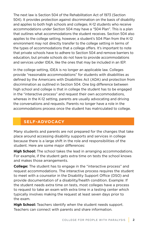The next law is Section 504 of the Rehabilitation Act of 1973 (Section 504). It provides protection against discrimination on the basis of disability and applies to both high schools and colleges. K-12 students who receive accommodations under Section 504 may have a "504 Plan". This is a plan that outlines what accommodations the student receives. Section 504 also applies to the college setting, however, a student's 504 Plan from the K-12 environment may not directly transfer to the college setting in terms of the types of accommodations that a college offers. It's important to note that private schools have to adhere to Section 504 and remove barriers to education, but private schools do not have to provide accommodations and services under IDEA, like the ones that may be included in an IEP.

In the college setting, IDEA is no longer an applicable law. Colleges provide "reasonable accommodations" for students with disabilities as defined by the Americans with Disabilities Act (ADA) and protection from discrimination as outlined in Section 504. One big difference between high school and college is that in college the student has to be engaged in the "interactive process" and request their own accommodations, whereas in the K-12 setting, parents are usually advocating and driving the conversations and requests. Parents no longer have a role in the accommodations process once the student has matriculated to college.

### **SELF-ADVOCACY**

Many students and parents are not prepared for the changes that take place around accessing disability supports and services in college because there is a large shift in the role and responsibilities of the student. Here are some major differences:

**High School:** The school takes the lead in arranging accommodations. For example, if the student gets extra time on tests the school knows and makes those arrangements.

**College:** The student has to engage in the "interactive process" and request accommodations. The interactive process requires the student to meet with a counselor in the Disability Support Office (DSO) and provide documentation of a disability/health condition. Example: If the student needs extra time on tests, most colleges have a process to request to take an exam with extra time in a testing center which typically involves making the request at least seven days prior to the exam.

**High School:** Teachers identify when the student needs support. Teachers can connect with parents and share information.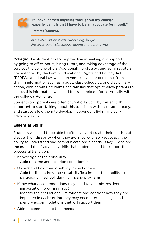

**If I have learned anything throughout my college experience, it is that I have to be an advocate for myself."**

*-Ian Malesiewski* 

*https://www.ChristopherReeve.org/blog/ life-after-paralysis/college-during-the-coronavirus*

**College:** The student has to be proactive in seeking out support by going to office hours, hiring tutors, and taking advantage of the services the college offers. Additionally, professors and administrators are restricted by the Family Educational Rights and Privacy Act (FERPA), a federal law, which prevents university personnel from sharing information such as grades, class schedules, and disciplinary action, with parents. Students and families that opt to allow parents to access this information will need to sign a release form, typically with the college's Registrar.

Students and parents are often caught off guard by this shift. It's important to start talking about this transition with the student early, and start to allow them to develop independent living and selfadvocacy skills.

#### **Essential Skills**

Students will need to be able to effectively articulate their needs and discuss their disability when they are in college. Self-advocacy, the ability to understand and communicate one's needs, is key. These are the essential self-advocacy skills that students need to support their successful transition:

- **•** Knowledge of their disability
	- Able to name and describe condition(s)
- **•** Understand how their disability impacts them
	- Able to discuss how their disability(ies) impact their ability to participate in school, daily living, and programs.
- Know what accommodations they need (academic, residential, transportation, programmatic)
	- Identify their "functional limitations" and consider how they are impacted in each setting they may encounter in college, and identify accommodations that will support them.
- **•** Able to communicate their needs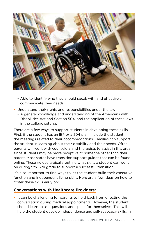

- Able to identify who they should speak with and effectively communicate their needs
- **•** Understand their rights and responsibilities under the law
	- A general knowledge and understanding of the Americans with Disabilities Act and Section 504, and the application of these laws in the college setting.

There are a few ways to support students in developing these skills. First, if the student has an IEP or a 504 plan, include the student in the meetings related to their accommodations. Families can support the student in learning about their disability and their needs. Often, parents will work with counselors and therapists to assist in this area, since students may be more receptive to someone other than their parent. Most states have transition support guides that can be found online. These guides typically outline what skills a student can work on during 9th-12th grade to support a successful transition.

It's also important to find ways to let the student build their executive function and independent living skills. Here are a few ideas on how to foster these skills early on:

#### **Conversations with Healthcare Providers:**

**•** It can be challenging for parents to hold back from directing the conversation during medical appointments. However, the student should learn to ask questions and speak for themselves. This will help the student develop independence and self-advocacy skills. In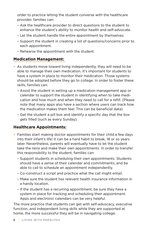order to practice letting the student converse with the healthcare provider, families can:

- Ask the healthcare provider to direct questions to the student to enhance the student's ability to monitor health and self-advocate.
- Let the student handle the entire appointment by themselves.
- Support the student in creating a list of questions/concerns prior to each appointment.
- Rehearse the appointment with the student.

#### **Medication Management:**

- As students move toward living independently, they will need to be able to manage their own medication. It's important for students to have a system in place to monitor their medication. Those systems should be adopted before they go to college. In order to foster these skills, families can:
	- Assist the student in setting up a medication management app or calendar to support the student in identifying when to take medication and how much and when they need to call for a refill. (Please note that many apps also have a section where users can track how the medication makes them feel. This can be beneficial data).
	- Get the student a pill box and identify a specific day that the box gets filled (such as every Sunday).

#### **Healthcare Appointments:**

- Families start making doctor appointments for their child a few days into their infant's life! It can be a hard habit to break, 18 or so years later. Nevertheless, parents will eventually have to let the student take the reins and make their own appointments. In order to transfer this responsibility to the student, families can:
	- Support students in scheduling their own appointments. Students should have a sense of their calendar and commitments, and be able to call to schedule an appointment independently.
	- Co-construct a script and practice what the call might entail.
	- Make sure the student has relevant health insurance information in a handy location.
	- If the student has a recurring appointment, be sure they have a system in place for tracking and scheduling their appointment. Apps and electronic calendars can be very helpful.

The more practice that students can get with self-advocacy, executive function, and independent living skills while they are supported at home, the more successful they will be in navigating college.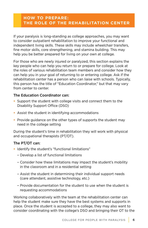#### **HOW TO PREPARE: THE ROLE OF THE REHABILITATION CENTER**

If your paralysis is long-standing as college approaches, you may want to consider outpatient rehabilitation to improve your functional and independent living skills. These skills may include wheelchair transfers, fine motor skills, core strengthening, and stamina building. This may help you be better prepared for living on your own at college.

For those who are newly injured or paralyzed, this section explains the key people who can help you return to or prepare for college. Look at the roles of various rehabilitation team members and consider how they can help you in your goal of returning to or entering college. Ask if the rehabilitation center has a person who can liaise with schools. Typically, this person has the title of "Education Coordinator," but that may vary from center to center.

#### The Education Coordinator can:

- Support the student with college visits and connect them to the Disability Support Office (DSO)
- Assist the student in identifying accommodations
- Provide guidance on the other types of supports the student may need in the college setting

During the student's time in rehabilitation they will work with physical and occupational therapists (PT/OT).

#### The PT/OT can:

- Identify the student's "functional limitations"
	- Develop a list of functional limitations
	- Consider how these limitations may impact the student's mobility in the classroom and in a residential setting
	- Assist the student in determining their individual support needs (care attendant, assistive technology, etc.)
	- Provide documentation for the student to use when the student is requesting accommodations

Working collaboratively with the team at the rehabilitation center can help the student make sure they have the best systems and supports in place. Once the student is accepted to a college, they may also want to consider coordinating with the college's DSO and bringing their OT to the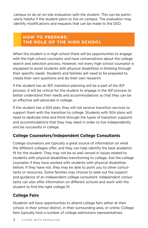campus to do an on-site evaluation with the student. This can be particularly helpful if the student plans to live on campus. The evaluation may identify modifications and requests that can be made to the DSO.

#### **HOW TO PREPARE: THE ROLE OF THE HIGH SCHOOL**

When the student is in high school there will be opportunities to engage with the high school counselor and have conversations about the college search and selection process. However, not every high school counselor is equipped to assist students with physical disabilities in thinking through their specific needs. Students and families will need to be prepared to create their own questions and do their own research.

If the student has an IEP, transition planning will be a part of the IEP process. It will be critical for the student to engage in the IEP process to better understand their needs and accommodations so that they can be an effective self-advocate in college.

If the student has a 504 plan, they will not receive transition services to support them with the transition to college. Students with 504 plans will need to dedicate time and think through the types of transition supports and accommodations that they may need in order to live independently and be successful in college.

#### **College Counselors/Independent College Consultants**

College counselors are typically a great source of information on what the different colleges offer, and they can help identify the best academic fit for the student. They may not be as well versed in issues related to students with physical disabilities transitioning to college. Ask the college counselor if they have worked with students with physical disabilities before. If they have not, they may be able to point you to other consultants or resources. Some families may choose to seek out the support and guidance of an independent college consultant. Independent consultants can also offer information on different schools and work with the student to find the right college fit.

#### **College Fairs**

Students will have opportunities to attend college fairs either at their school, in their school district, in their surrounding area, or online. College fairs typically host a number of college admissions representatives.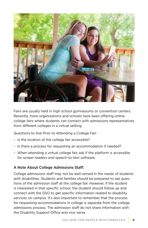

Fairs are usually held in high school gymnasiums or convention centers. Recently, more organizations and schools have been offering online college fairs where students can connect with admissions representatives from different colleges in a virtual setting.

Questions to Ask Prior to Attending a College Fair:

- **•** Is the location of the college fair accessible?
- **•** Is there a process for requesting an accommodation if needed?
- When attending a virtual college fair, ask if the platform is accessible for screen readers and speech-to-text software.

#### A Note About College Admissions Staff:

College admissions staff may not be well-versed in the needs of students with disabilities. Students and families should be prepared to ask questions of the admission staff at the college fair. However, if the student is interested in that specific school, the student should follow up and connect with the DSO to get specific information related to disability services on campus. It's also important to remember that the process for requesting accommodations in college is separate from the college admissions process. The admission staff do not share information with the Disability Support Office and vice versa.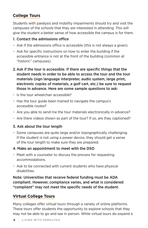#### **College Tours**

Students with paralysis and mobility impairments should try and visit the campuses of the schools that they are interested in attending. This will give the student a better sense of how accessible the campus is for them.

#### 1. Contact the admissions office

- **•** Ask if the admissions office is accessible (this is not always a given).
- Ask for specific instructions on how to enter the building if the accessible entrance is not at the front of the building (common at "historic" campuses).
- 2. Ask if the tour is accessible. If there are specific things that the student needs in order to be able to access the tour and the tour materials (sign language interpreter, audio system, large print, electronic copies of materials, a golf cart, etc.) be sure to request those in advance. Here are some sample questions to ask:
- Is the tour wheelchair accessible?
- Has the tour guide been trained to navigate the campus's accessible routes?
- Are you able to send me the tour materials electronically in advance?
- Are there videos shown as part of the tour? If so, are they captioned?

#### 3. Ask about the tour length

**•** Some campuses are quite large and/or topographically challenging. If the student is not using a power device, they should get a sense of the tour length to make sure they are prepared.

#### 4. Make an appointment to meet with the DSO

- Meet with a counselor to discuss the process for requesting accommodations.
- Ask to be connected with current students who have physical disabilities.

Note: Universities that receive federal funding must be ADA compliant. However, compliance varies, and what is considered "compliant" may not meet the specific needs of the student.

#### **Virtual College Tours**

Many colleges offer virtual tours through a variety of online platforms. These tours offer students the opportunity to explore schools that they may not be able to go and see in person. While virtual tours do expand a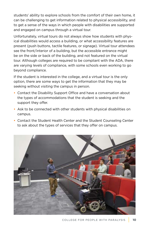students' ability to explore schools from the comfort of their own home, it can be challenging to get information related to physical accessibility, and to get a sense of the ways in which people with disabilities are supported and engaged on campus through a virtual tour.

Unfortunately, virtual tours do not always show how students with physical disabilities would access a building, or what accessibility features are present (push buttons, tactile features, or signage). Virtual tour attendees see the front/interior of a building, but the accessible entrance might be on the side or back of the building, and not featured on the virtual tour. Although colleges are required to be compliant with the ADA, there are varying levels of compliance, with some schools even working to go beyond compliance.

If the student is interested in the college, and a virtual tour is the only option, there are some ways to get the information that they may be seeking without visiting the campus in person.

- Contact the Disability Support Office and have a conversation about the types of accommodations that the student is seeking and the support they offer.
- Ask to be connected with other students with physical disabilities on campus.
- Contact the Student Health Center and the Student Counseling Center to ask about the types of services that they offer on campus.

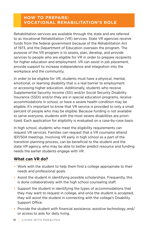#### **HOW TO PREPARE: VOCATIONAL REHABILITATION'S ROLE**

Rehabilitation services are available through the state and are referred to as Vocational Rehabilitation (VR) services. State VR agencies receive funds from the federal government because of the Rehabilitation Act of 1973, and the Department of Education oversees the program. The purpose of the VR program is to assess, plan, develop, and provide services to people who are eligible for VR in order to prepare recipients for higher education and employment. VR can assist in job placement, provide support to increase independence and integration into the workplace and the community.

In order to be eligible for VR, students must have a physical, mental, emotional, or learning disability that is a real barrier to employment or accessing higher education. Additionally, students who receive Supplemental Security Income (SSI) and/or Social Security Disability Insurance (SSDI) and/or they are in special education programs, receive accommodations in school, or have a severe health condition may be eligible. It's important to know that VR service is provided to only a small percent of people who may be eligible. Because funding is not available to serve everyone, students with the most severe disabilities are prioritized. Each application for eligibility is evaluated on a case-by-case basis.

In high school, students who meet the eligibility requirements can request VR services. Families can request that a VR counselor attend IEP/504 meetings. Involving VR early in high school as a part of the transition planning process, can be beneficial to the student and the state VR agency, who may be able to better predict resource and funding needs the earlier students engage with VR.

#### **What can VR do?**

- Work with the student to help them find a college appropriate to their needs and professional goals.
- Assist the student in identifying possible scholarships. Frequently, this is done collaboratively with the high school counseling staff.
- Support the student in identifying the types of accommodations that they may want to request in college, and once the student is accepted, they will assist the student in connecting with the college's Disability Support Office.
- Provide the student with financial assistance, assistive technology, and/ or access to aids for daily living.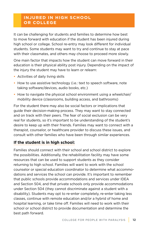#### **INJURED IN HIGH SCHOOL OR COLLEGE**

It can be challenging for students and families to determine how best to move forward with education if the student has been injured during high school or college. School re-entry may look different for individual students. Some students may want to try and continue to stay at pace with their classmates, and others may choose to proceed more slowly.

One main factor that impacts how the student can move forward in their education is their physical ability post injury. Depending on the impact of the injury the student may have to learn or relearn:

- Activities of daily living skills
- How to use assistive technology (i.e.: text to speech software, note taking software/devices, audio books, etc.)
- How to navigate the physical school environment using a wheelchair/ mobility device (classrooms, building access, and bathrooms)

For the student there may also be social factors or implications that guide their decision-making process. They may want to stay connected and on track with their peers. The fear of social exclusion can be very real for students, so it's important to be understanding of the student's desire to keep up with their friends. Families may want to connect with a therapist, counselor, or healthcare provider to discuss these issues, and consult with other families who have been through similar experiences.

#### **If the student is in high school:**

Families should connect with their school and school district to explore the possibilities. Additionally, the rehabilitation facility may have some resources that can be used to support students as they consider returning to high school. Families will want to work with the school counselor or special education coordinator to determine what accommodations and services the school can provide. It's important to remember that public schools provide accommodations and services under IDEA and Section 504, and that private schools only provide accommodations under Section 504 (they cannot discriminate against a student with a disability). Students may opt to re-enter completely, re-enter taking less classes, continue with remote education and/or a hybrid of home and hospital learning, or take time off. Families will need to work with their school or school district to provide documentation and determine the best path forward.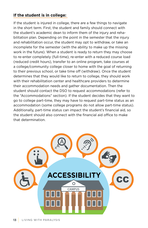#### **If the student is in college:**

If the student is injured in college, there are a few things to navigate in the short term. First, the student and family should connect with the student's academic dean to inform them of the injury and rehabilitation plan. Depending on the point in the semester that the injury and rehabilitation occur, the student may opt to withdraw, or take an incomplete for the semester (with the ability to make up the missing work in the future). When a student is ready to return they may choose to re-enter completely (full-time), re-enter with a reduced course load (reduced credit hours), transfer to an online program, take courses at a college/community college closer to home with the goal of returning to their previous school, or take time off (withdraw). Once the student determines that they would like to return to college, they should work with their rehabilitation center and healthcare providers to determine their accommodation needs and gather documentation. Then the student should contact the DSO to request accommodations (refer to the "Accommodations" section). If the student decides that they want to go to college part-time, they may have to request part-time status as an accommodation (some college programs do not allow part-time status). Additionally, part-time status can impact the student's financial aid, so the student should also connect with the financial aid office to make that determination.

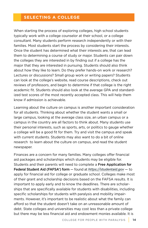#### **SELECTING A COLLEGE**

When starting the process of exploring colleges, high school students typically work with a college counselor at their school, or a college consultant. Many students perform research independently or with their families. Most students start the process by considering their interests. Once the student has determined what their interests are, that can lead them to determining a course of study or major. Students can pair down the colleges they are interested in by finding out if a college has the major that they are interested in pursuing. Students should also think about how they like to learn. Do they prefer hands-on work or research? Lectures or discussions? Small group work or writing papers? Students can look at the college's website, read course descriptions, check out reviews of professors, and begin to determine if that college is the right academic fit. Students should also look at the average GPA and standardized test scores of the most recently accepted class. This will help them know if admission is achievable.

Learning about the culture on campus is another important consideration for all students. Thinking about whether the student wants a small or large campus, looking at the average class size, an urban campus or a campus in the country are all factors to think about. Many students use their personal interests, such as sports, arts, or politics to gauge whether a college will be a good fit for them. Try and visit the campus and speak with current students. Students may also want to do a bit of online research to learn about the culture on campus, and read the student newspaper.

Finances are a concern for many families. Many colleges offer financial aid packages and scholarships which students may be eligible for. Students and their parents will need to complete a Free Application for Federal Student Aid (FAFSA®) form — found at *https://studentaid.gov* — to apply for financial aid for college or graduate school. Colleges make most of their grant and scholarship decisions based on the FAFSA results. It is important to apply early and to know the deadlines. There are scholarships that are specifically available for students with disabilities, including specific scholarships for students with paralysis and mobility impairments. However, it's important to be realistic about what the family can afford so that the student doesn't take on an unreasonable amount of debt. State colleges and universities may cost less than a private college but there may be less financial aid and endowment monies available. It is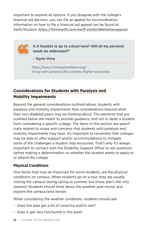important to explore all options. If you disagree with the college's financial aid decision, you can file an appeal for reconsideration. Information on how to file a financial aid appeal can be found at Swift/Student: *https://formswift.com/swift-student#whatsanappeal*.



**Is it feasible to go to school here? Will all my personal needs be addressed?"**

*– Taylor Price*

*https://www.ChristopherReeve.org/ living-with-paralysis/for-parents/higher-education*

### **Considerations for Students with Paralysis and Mobility Impairments**

Beyond the general considerations outlined above, students with paralysis and mobility impairments face considerations beyond what their non-disabled peers may be thinking about. The elements that are outlined below are meant to provide guidance, and not to deter a student from considering a specific college. The items in this section are specifically related to issues and concerns that students with paralysis and mobility impairments may have. It's important to remember that colleges may be able to offer support and/or accommodations to mitigate some of the challenges a student may encounter. That's why it's always important to connect with the Disability Support Office to ask questions before making a determination on whether the student wants to apply to or attend the college.

#### **Physical Conditions**

One factor that may be important for some students, are the physical conditions on campus. When students go on a tour, they are usually visiting the campus during spring or summer, but those aren't the only seasons! Students should think about the weather year-round, and explore the campus/area terrain.

When considering the weather conditions, students should ask:

- Does the area get a lot of snow/ice and/or rain?
- Does it get very hot/humid in this area?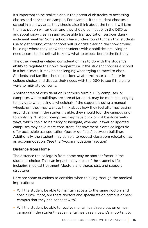It's important to be realistic about the potential obstacles to accessing classes and services on campus. For example, if the student chooses a school in a snowy area, they should also think about the time it will take them to put on winter gear, and they should connect with the DSO to ask about snow clearing and accessible transportation services during inclement weather. Some schools have underground tunnels that students use to get around, other schools will prioritize clearing the snow around buildings where they know that students with disabilities are living or need access to. It's critical to know what to expect before the first day!

The other weather-related consideration has to do with the student's ability to regulate their own temperature. If the student chooses a school in a hot climate, it may be challenging when trying to travel to class. Students and families should consider weather/climate as a factor in college choice, and discuss their needs with the DSO to see if there are ways to mitigate concerns.

Another area of consideration is campus terrain. Hilly campuses, or campuses where buildings are spread far apart, may be more challenging to navigate when using a wheelchair. If the student is using a manual wheelchair, they may want to think about how they feel after navigating around campus. If the student is able, they should tour the campus prior to applying. "Historic" campuses may have brick or cobblestone walkways, which can also be tricky to navigate, whereas, newer or updated campuses may have more consistent, flat pavement. Some colleges do offer accessible transportation (bus or golf cart) between buildings. Additionally, the student may be able to request classroom relocation as an accommodation. (See the "Accommodations" section)

#### **Distance from Home**

The distance the college is from home may be another factor in the student's choice. This can impact many areas of the student's life, including medical treatment (doctors and therapists), and support structures.

Here are some questions to consider when thinking through the medical implications:

- Will the student be able to maintain access to the same doctors and specialists? If not, are there doctors and specialists on campus or near campus that they can connect with?
- Will the student be able to receive mental health services on or near campus? If the student needs mental health services, it's important to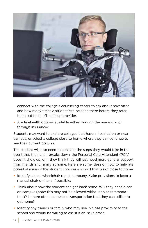

connect with the college's counseling center to ask about how often and how many times a student can be seen there before they refer them out to an off-campus provider.

**•** Are telehealth options available either through the university, or through insurance?

Students may want to explore colleges that have a hospital on or near campus, or select a college close to home where they can continue to see their current doctors.

The student will also need to consider the steps they would take in the event that their chair breaks down, the Personal Care Attendant (PCA) doesn't show up, or if they think they will just need more general support from friends and family at home. Here are some ideas on how to mitigate potential issues if the student chooses a school that is not close to home:

- Identify a local wheelchair repair company. Make provisions to keep a manual chair on hand if possible.
- Think about how the student can get back home. Will they need a car on campus (note: this may not be allowed without an accommodation)? Is there other accessible transportation that they can utilize to get home?
- Identify any friends or family who may live in close proximity to the school and would be willing to assist if an issue arose.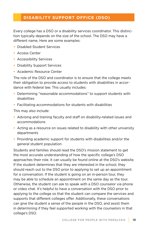#### **DISABILITY SUPPORT OFFICE (DSO)**

Every college has a DSO or a disability services coordinator. This distinction typically depends on the size of the school. The DSO may have a different name. Here are some examples:

- Disabled Student Services
- Access Center
- Accessibility Services
- Disability Support Services
- Academic Resource Center

The role of the DSO and coordinator is to ensure that the college meets their obligation to provide access to students with disabilities in accordance with federal law. This usually includes:

- Determining "reasonable accommodations" to support students with disabilities
- Facilitating accommodations for students with disabilities

This may also include:

- Advising and training faculty and staff on disability-related issues and accommodations
- Acting as a resource on issues related to disability with other university departments
- Providing academic support for students with disabilities and/or the general student population

Students and families should read the DSO's mission statement to get the most accurate understanding of how the specific college's DSO approaches their role. It can usually be found online at the DSO's website. If the student determines that they are interested in the school, they should reach out to the DSO prior to applying to set up an appointment for a conversation. If the student is going on an in-person tour, they may be able to schedule an appointment on the same day as the tour. Otherwise, the student can ask to speak with a DSO counselor via phone or video chat. It's helpful to have a conversation with the DSO prior to applying to the college so that the student can compare the services and supports that different colleges offer. Additionally, these conversations can give the student a sense of the people in the DSO, and assist them in determining if they feel supported working with the counselors in that college's DSO.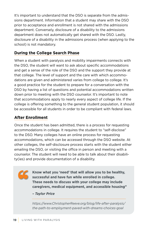It's important to understand that the DSO is separate from the admissions department. Information that a student may share with the DSO prior to acceptance and enrollment is not shared with the admissions department. Conversely, disclosure of a disability to the admissions department does not automatically get shared with the DSO. Lastly, disclosure of a disability in the admissions process (when applying to the school) is not mandatory.

#### **During the College Search Phase**

When a student with paralysis and mobility impairments connects with the DSO, the student will want to ask about specific accommodations and get a sense of the role of the DSO and the support they provide at that college. The level of support and the care with which accommodations are given and administered varies from college to college. It's a good practice for the student to prepare for a conversation with the DSO by having a list of questions and potential accommodations written down prior to meeting with the DSO counselor. It's important to note that accommodations apply to nearly every aspect of college life. If the college is offering something to the general student population, it should be accessible for all students in order to be compliant with federal laws.

#### **After Enrollment**

Once the student has been admitted, there is a process for requesting accommodations in college. It requires the student to "self-disclose" to the DSO. Many colleges have an online process for requesting accommodations, which can be accessed through the DSO website. At other colleges, the self-disclosure process starts with the student either emailing the DSO, or visiting the office in person and meeting with a counselor. The student will need to be able to talk about their disability(ies) and provide documentation of a disability.



**Know what you 'need' that will allow you to be healthy, successful and have fun while enrolled in college. These needs to discuss with your college may include caregivers, medical equipment, and accessible housing"**

*– Taylor Price*

*https://www.ChristopherReeve.org/blog/life-after-paralysis/ the-path-to-employment-paved-with-dreams-choices-goal*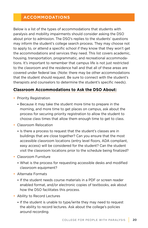#### **ACCOMMODATIONS**

Below is a list of the types of accommodations that students with paralysis and mobility impairments should consider asking the DSO about prior to admission. The DSO's replies to the students' questions may inform the student's college search process. They may choose not to apply to, or attend a specific school if they know that they won't get the accommodations and services they need. This list covers academic, housing, transportation, programmatic, and recreational accommodations. It's important to remember that campus life is not just restricted to the classroom and the residence hall and that all of these areas are covered under federal law. (Note: there may be other accommodations that the student should request. Be sure to connect with the student's therapists and counselors to determine the student's specific needs).

#### **Classroom Accommodations to Ask the DSO About:**

- Priority Registration
	- Because it may take the student more time to prepare in the morning, and more time to get places on campus, ask about the process for securing priority registration to allow the student to choose class times that allow them enough time to get to class.
- Classroom Relocation
	- Is there a process to request that the student's classes are in buildings that are close together? Can you ensure that the most accessible classroom locations (entry level floors, ADA compliant, easy access) will be considered for the student? Can the student visit the classroom locations prior to the schedule being finalized?
- Classroom Furniture
	- What is the process for requesting accessible desks and modified classroom equipment?
- Alternate Formats
	- If the student needs course materials in a PDF or screen reader enabled format, and/or electronic copies of textbooks, ask about how the DSO facilitates this process.
- Ability to Record Lectures
	- If the student is unable to type/write they may need to request the ability to record lectures. Ask about the college's policies around recording.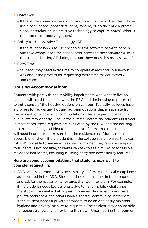- Notetaker
	- If the student needs a person to take notes for them, does the college use a peer-based (another student) system, or do they hire a professional notetaker or use assistive technology to capture notes? What is the process for receiving notes?
- Ability to Use Assistive Technology (AT)
	- If the student needs to use speech to text software to write papers and take exams, does the school offer access to the software? Also, if the student is using AT during an exam, how does this process work?
- Extra Time
	- Students may need extra time to complete exams and coursework. Ask about the process for requesting extra time for coursework and exams.

#### **Housing Accommodations:**

Students with paralysis and mobility impairments who want to live on campus will need to connect with the DSO and the housing department to get a sense of the housing options on campus. Typically, colleges have a process for requesting housing accommodations that is separate from the request for academic accommodations. These requests are usually due in late May or early June, in the summer before the student's first year. In most cases, these requests are evaluated by the DSO and the housing department. It's a good idea to create a list of items that the student will need in order to make sure that the residence hall (dorm) room is accessible for them. If the student is in the college search phase, they can ask if it's possible to see an accessible room when they go on a campus tour. If that is not possible, students can ask to see pictures of accessible residence hall rooms, including building entry and accessibility features.

#### **Here are some accommodations that students may want to consider requesting:**

• ADA accessible room: "ADA accessibility" refers to technical compliance as stipulated in the ADA. Students should be specific in their request and ask for the accessibility features that work for them. For example, if the student needs keyless entry, due to hand mobility challenges, the student can make that request. Some residence hall rooms have private bathrooms and others have a shared "community" bathroom. If the student needs a private bathroom to be able to easily maintain hygiene and privacy, be sure to request it. The student may also be able to request a shower chair or bring their own. Upon touring the room or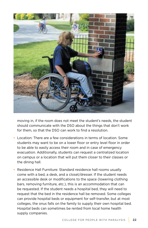

moving in, if the room does not meet the student's needs, the student should communicate with the DSO about the things that don't work for them, so that the DSO can work to find a resolution.

- Location: There are a few considerations in terms of location. Some students may want to be on a lower floor or entry level floor in order to be able to easily access their room and in case of emergency evacuation. Additionally, students can request a centralized location on campus or a location that will put them closer to their classes or the dining hall.
- Residence Hall Furniture: Standard residence hall rooms usually come with a bed, a desk, and a closet/dresser. If the student needs an accessible desk or modifications to the space (lowering clothing bars, removing furniture, etc.), this is an accommodation that can be requested. If the student needs a hospital bed, they will need to request that the bed in the residence hall be removed. Some colleges can provide hospital beds or equipment for self-transfer, but at most colleges, the onus falls on the family to supply their own hospital bed. Hospital beds can sometimes be rented from local home health supply companies.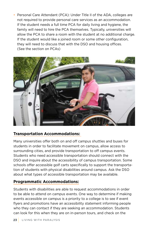• Personal Care Attendant (PCA): Under Title II of the ADA, colleges are not required to provide personal care services as an accommodation. If the student needs a full time PCA for daily living and hygiene, the family will need to hire the PCA themselves. Typically, universities will allow the PCA to share a room with the student at no additional charge. If the student would like a joined room or some other configuration, they will need to discuss that with the DSO and housing offices. (See the section on PCAs)



#### **Transportation Accommodations:**

Many universities offer both on and off campus shuttles and buses for students in order to facilitate movement on campus, allow access to surrounding cities, and provide transportation to off campus events. Students who need accessible transportation should connect with the DSO and inquire about the accessibility of campus transportation. Some schools offer accessible golf carts specifically to support the transportation of students with physical disabilities around campus. Ask the DSO about what types of accessible transportation may be available.

#### **Programmatic Accommodations:**

Students with disabilities are able to request accommodations in order to be able to attend on campus events. One way to determine if making events accessible on campus is a priority to a college is to see if event flyers and promotions have an accessibility statement informing people who they can contact if they are seeking an accommodation. Students can look for this when they are on in-person tours, and check on the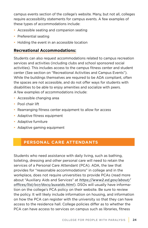campus events section of the college's website. Many, but not all, colleges require accessibility statements for campus events. A few examples of these types of accommodations include:

- Accessible seating and companion seating
- Preferential seating
- Holding the event in an accessible location

#### **Recreational Accommodations:**

Students can also request accommodations related to campus recreation services and activities (including clubs and school sponsored social activities). This includes access to the campus fitness center and student center (See section on "Recreational Activities and Campus Events"). While the buildings themselves are required to be ADA compliant, often the spaces are not accessible, and do not offer ways for students with disabilities to be able to enjoy amenities and socialize with peers. A few examples of accommodations include:

- Accessible changing area
- Pool chair lift
- Rearranging fitness center equipment to allow for access
- Adaptive fitness equipment
- Adaptive furniture
- Adaptive gaming equipment

#### **PERSONAL CARE ATTENDANTS**

Students who need assistance with daily living, such as bathing, toileting, dressing and other personal care will need to retain the services of a Personal Care Attendant (PCA). ADA, the law that provides for "reasonable accommodations" in college and in the workplace, does not require universities to provide PCAs (read more about "Auxiliary Aids and Services" at *https://www2.ed.gov/about/ offices/list/ocr/docs/auxaids.html*). DSOs will usually have information on the college's PCA policy on their website. Be sure to review the policy. It will likely include information on housing, and information on how the PCA can register with the university so that they can have access to the residence hall. College policies differ as to whether the PCA can have access to services on campus such as libraries, fitness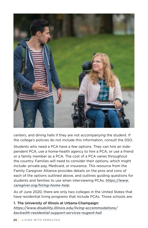

centers, and dining halls if they are not accompanying the student. If the college's policies do not include this information, consult the DSO.

Students who need a PCA have a few options. They can hire an independent PCA, use a home-health agency to hire a PCA, or use a friend or a family member as a PCA. The cost of a PCA varies throughout the country. Families will need to consider their options, which might include: private pay, Medicaid, or insurance. This resource from the Family Caregiver Alliance provides details on the pros and cons of each of the options outlined above, and outlines guiding questions for students and families to use when interviewing PCAs: *https://www. caregiver.org/hiring-home-help*.

As of June 2020, there are only two colleges in the United States that have residential living programs that include PCAs. Those schools are:

1. The University of Illinois at Urbana-Champaign: *https://www.disability.illinois.edu/living-accommodations/ beckwith-residential-support-services-nugent-hall*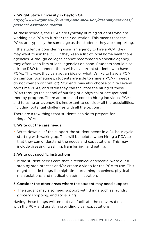#### 2. Wright State University in Dayton OH:

*http://www.wright.edu/diversity-and-inclusion/disability-services/ personal-assistance-station*

At these schools, the PCAs are typically nursing students who are working as a PCA to further their education. This means that the PCAs are typically the same age as the students they are supporting.

If the student is considering using an agency to hire a PCA, they may want to ask the DSO if they keep a list of local home healthcare agencies. Although colleges cannot recommend a specific agency, they often keep lists of local agencies on hand. Students should also ask the DSO to connect them with any current students who have PCAs. This way, they can get an idea of what it's like to have a PCA on campus. Sometimes, students are able to share a PCA (if needs do not overlap or conflict). Students may also choose to hire several part-time PCAs, and often they can facilitate the hiring of these PCAs through the school of nursing or a physical or occupational therapy program. There are pros and cons to hiring individual PCAs and to using an agency. It's important to consider all the possibilities, including potential challenges with all the options.

There are a few things that students can do to prepare for hiring a PCA:

#### 1. Write out the care needs

• Write down all of the support the student needs in a 24-hour cycle starting with waking up. This will be helpful when hiring a PCA so that they can understand the needs and expectations. This may include dressing, washing, transferring, and eating.

#### 2. Write out specific instructions

• If the student needs care that is technical or specific, write out a step by step process and/or create a video for the PCA to use. This might include things like nighttime breathing machines, physical manipulations, and medication administration.

#### 3. Consider the other areas where the student may need support

• The student may also need support with things such as laundry, grocery shopping, and socializing.

Having these things written out can facilitate the conversation with the PCA and assist in providing clear expectations.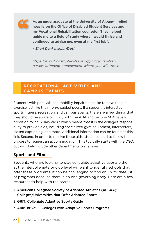

**As an undergraduate at the University of Albany, I relied heavily on the Office of Disabled Student Services and my Vocational Rehabilitation counselor. They helped guide me to a field of study where I would thrive and continued to advise me, even at my first job"***.* 

*– Sheri Denkensohn-Trott*

*https://www.ChristopherReeve.org/blog/life-afterparalysis/finding-employment-where-you-will-thrive*

#### **RECREATIONAL ACTIVITIES AND CAMPUS EVENTS**

Students with paralysis and mobility impairments like to have fun and exercise just like their non-disabled peers. If a student is interested in sports, fitness, recreation, and campus events, there are a few things that they should be aware of. First, both the ADA and Section 504 have a provision for "auxiliary aids," which means that it is the college's responsibility to provide aids, including specialized gym equipment, interpreters, closed captioning, and more. Additional information can be found at this link. Second, in order to receive these aids, students need to follow the process to request an accommodation. This typically starts with the DSO, but will likely include other departments on campus.

#### **Sports and Fitness**

Students who are looking to play collegiate adaptive sports either at the intercollegiate or club level will want to identify schools that offer these programs. It can be challenging to find an up-to-date list of programs because there is no one governing body. Here are a few resources to help with the search:

- 1. American Collegiate Society of Adapted Athletics (ACSAA): Colleges/Universities that Offer Adapted Sports
- 2. GRIT: Collegiate Adaptive Sports Guide
- 3. AbleThrive: 21 Colleges with Adaptive Sports Programs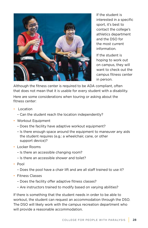

If the student is interested in a specific sport, it's best to contact the college's athletics department and the DSO for the most current information.

If the student is hoping to work out on campus, they will want to check out the campus fitness center in person.

Although the fitness center is required to be ADA compliant, often that does not mean that it is usable for every student with a disability.

Here are some considerations when touring or asking about the fitness center:

- Location
	- Can the student reach the location independently?
- Workout Equipment
	- Does the facility have adaptive workout equipment?
	- Is there enough space around the equipment to maneuver any aids the student requires (e.g.: a wheelchair, cane, or other support device)?
- Locker Rooms
	- Is there an accessible changing room?
	- Is there an accessible shower and toilet?
- Pool
	- Does the pool have a chair lift and are all staff trained to use it?
- Fitness Classes
	- Does the facility offer adaptive fitness classes?
	- Are instructors trained to modify based on varying abilities?

If there is something that the student needs in order to be able to workout, the student can request an accommodation through the DSO. The DSO will likely work with the campus recreation department who will provide a reasonable accommodation.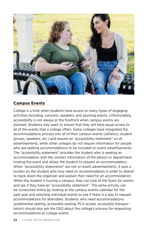

#### **Campus Events**

College is a time when students have access to many types of engaging activities including, concerts, speakers, and sporting events. Unfortunately, accessibility is not always at the forefront when campus events are planned. Students may want to ensure that they will have equal access to all of the events that a college offers. Some colleges have integrated the accommodations process into all of their campus events (athletics, student groups, speakers, etc.) and require an "accessibility statement" on all advertisements, while other colleges do not require information for people who are seeking accommodations to be included on event advertisements. The "accessibility statement" provides the student who is seeking an accommodation with the contact information of the person or department hosting the event and allows the student to request an accommodation. When "accessibility statements" are not on event advertisements, it puts a burden on the student who may need an accommodation in order to attend to track down the organizer and explain their need for an accommodation. When the student is touring a campus, they can look at the flyers for events and see if they have an "accessibility statement". The same activity can be conducted online by looking at the campus events calendar for the past year and selecting individual events to see if there is a way to request accommodations for attendees. Students who need accommodations (preferential seating, accessible seating, PCA access, accessible transportation) should also ask the DSO about the college's process for requesting accommodations at college events.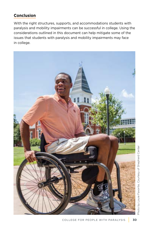#### **Conclusion**

With the right structures, supports, and accommodations students with paralysis and mobility impairments can be successful in college. Using the considerations outlined in this document can help mitigate some of the issues that students with paralysis and mobility impairments may face in college.

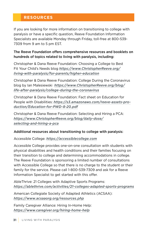#### **RESOURCES**

If you are looking for more information on transitioning to college with paralysis or have a specific question, Reeve Foundation Information Specialists are available Monday through Friday, toll-free at 800-539- 7309 from 9 am to 5 pm EST.

#### The Reeve Foundation offers comprehensive resources and booklets on hundreds of topics related to living with paralysis, including:

Christopher & Dana Reeve Foundation: Choosing a College to Best Fit Your Child's Needs blog *https://www.ChristopherReeve.org/ living-with-paralysis/for-parents/higher-education*

Christopher & Dana Reeve Foundation: College During the Coronavirus blog by Ian Malesiewski *https://www.ChristopherReeve.org/blog/ life-after-paralysis/college-during-the-coronavirus*

Christopher & Dana Reeve Foundation: Fact sheet on Education for People with Disabilities: *https://s3.amazonaws.com/reeve-assets-production/Education-for-PWD-8-20.pdf*

Christopher & Dana Reeve Foundation: Selecting and Hiring a PCA: *https://www.ChristopherReeve.org/blog/daily-dose/ selecting-and-hiring-a-pca*

#### Additional resources about transitioning to college with paralysis:

Accessible College: *https://accessiblecollege.com*

Accessible College provides one-on-one consultation with students with physical disabilities and health conditions and their families focusing on their transition to college and determining accommodations in college. The Reeve Foundation is sponsoring a limited number of consultations with Accessible College so that there is no charge to the student or their family for the service. Please call 1-800-539-7309 and ask for a Reeve Information Specialist to get started with this offer.

AbleThrive: 21 Colleges with Adaptive Sports Programs: *https://ablethrive.com/activities/21-colleges-adapted-sports-programs*

American Collegiate Society of Adapted Athletics (ACSAA): *https://www.acsaaorg.org/resources.php*

Family Caregiver Alliance: Hiring In-Home Help: *https://www.caregiver.org/hiring-home-help*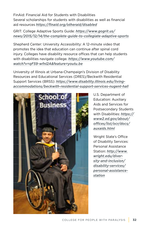FinAid: Financial Aid for Students with Disabilities Several scholarships for students with disabilities as well as financial aid resources *https://finaid.org/otheraid/disabled*

GRIT: College Adaptive Sports Guide: *https://www.gogrit.us/ news/2015/12/14/the-complete-guide-to-collegiate-adaptive-sports*

Shepherd Center: University Accessibility: A 12-minute video that promotes the idea that education can continue after spinal cord injury. Colleges have disability resource offices that can help students with disabilities navigate college. *https://www.youtube.com/ watch?v=qF59-wfnl2A&feature=youtu.be*

University of Illinois at Urbana-Champaign's Division of Disability Resources and Educational Services (DRES)/Beckwith Residential Support Services (BRSS): *https://www.disability.illinois.edu/livingaccommodations/beckwith-residential-support-services-nugent-hall*



U.S. Department of Education: Auxiliary Aids and Services for Postsecondary Students with Disabilities: *https:// www2.ed.gov/about/ offices/list/ocr/docs/ auxaids.html*

Wright State's Office of Disability Services: Personal Assistance Station: *http://www. wright.edu/diversity-and-inclusion/ disability-services/ personal-assistancestation*